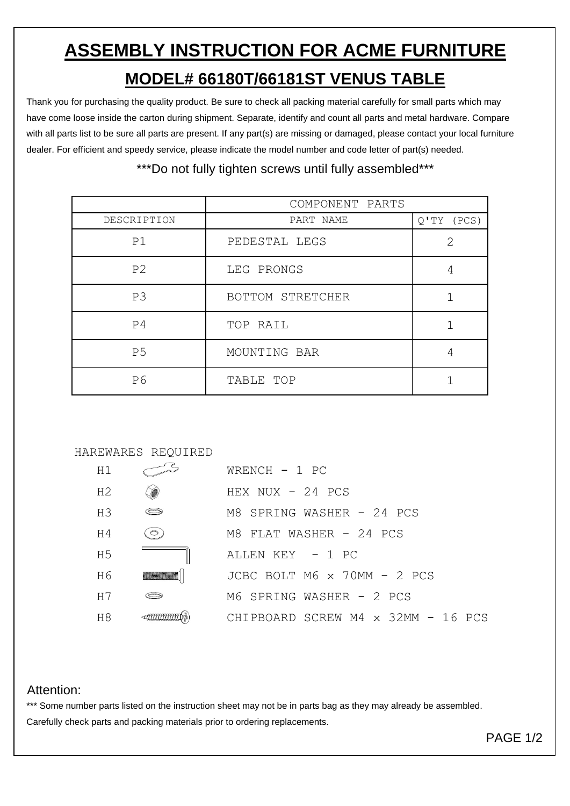## **ASSEMBLY INSTRUCTION FOR ACME FURNITURE MODEL# 66180T/66181ST VENUS TABLE**

Thank you for purchasing the quality product. Be sure to check all packing material carefully for small parts which may have come loose inside the carton during shipment. Separate, identify and count all parts and metal hardware. Compare with all parts list to be sure all parts are present. If any part(s) are missing or damaged, please contact your local furniture dealer. For efficient and speedy service, please indicate the model number and code letter of part(s) needed.

## \*\*\*Do not fully tighten screws until fully assembled\*\*\*

|                | COMPONENT PARTS  |              |
|----------------|------------------|--------------|
| DESCRIPTION    | PART NAME        | $Q'TY$ (PCS) |
| P1             | PEDESTAL LEGS    | 2            |
| P <sub>2</sub> | LEG PRONGS       | 4            |
| P <sub>3</sub> | BOTTOM STRETCHER |              |
| P <sub>4</sub> | TOP RAIL         |              |
| P <sub>5</sub> | MOUNTING BAR     | 4            |
| P6             | TABLE TOP        |              |



| H1             |         | WRENCH $-1$ PC                     |
|----------------|---------|------------------------------------|
| H <sub>2</sub> |         | HEX $NUX - 24 PCS$                 |
| H <sub>3</sub> |         | M8 SPRING WASHER - 24 PCS          |
| H4             | $\circ$ | M8 FLAT WASHER - 24 PCS            |
| H <sub>5</sub> |         | ALLEN KEY - 1 PC                   |
| H <sub>6</sub> |         | JCBC BOLT M6 x 70MM - 2 PCS        |
| H7             |         | M6 SPRING WASHER - 2 PCS           |
| H8             |         | CHIPBOARD SCREW M4 x 32MM - 16 PCS |

## Attention:

\*\*\* Some number parts listed on the instruction sheet may not be in parts bag as they may already be assembled. Carefully check parts and packing materials prior to ordering replacements.